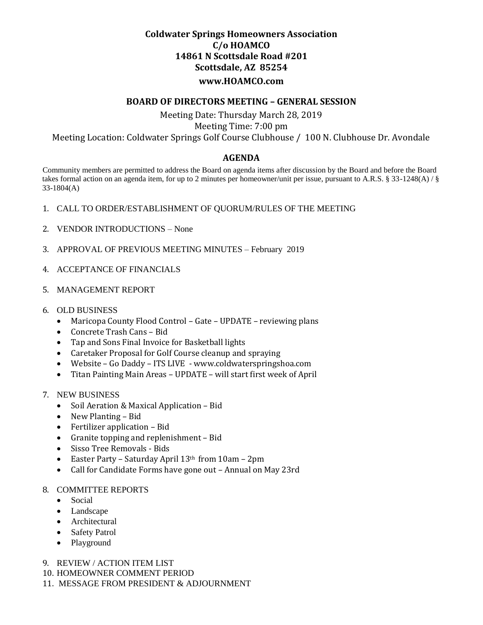## **Coldwater Springs Homeowners Association C/o HOAMCO 14861 N Scottsdale Road #201 Scottsdale, AZ 85254 www.HOAMCO.com**

### **BOARD OF DIRECTORS MEETING – GENERAL SESSION**

# Meeting Date: Thursday March 28, 2019 Meeting Time: 7:00 pm Meeting Location: Coldwater Springs Golf Course Clubhouse / 100 N. Clubhouse Dr. Avondale

## **AGENDA**

 Community members are permitted to address the Board on agenda items after discussion by the Board and before the Board takes formal action on an agenda item, for up to 2 minutes per homeowner/unit per issue, pursuant to A.R.S. § 33-1248(A) / § 33-1804(A)

- 1. CALL TO ORDER/ESTABLISHMENT OF QUORUM/RULES OF THE MEETING
- 2. VENDOR INTRODUCTIONS None
- 3. APPROVAL OF PREVIOUS MEETING MINUTES February 2019
- 4. ACCEPTANCE OF FINANCIALS
- 5. MANAGEMENT REPORT
- 6. OLD BUSINESS
	- Maricopa County Flood Control Gate UPDATE reviewing plans
	- Concrete Trash Cans Bid
	- Tap and Sons Final Invoice for Basketball lights
	- Caretaker Proposal for Golf Course cleanup and spraying
	- Website Go Daddy ITS LIVE www.coldwaterspringshoa.com
	- Titan Painting Main Areas UPDATE will start first week of April
- 7. NEW BUSINESS
	- Soil Aeration & Maxical Application Bid
	- New Planting Bid
	- Fertilizer application Bid
	- Granite topping and replenishment Bid
	- Sisso Tree Removals Bids
	- Easter Party Saturday April 13<sup>th</sup> from 10am 2pm
	- Call for Candidate Forms have gone out Annual on May 23rd

#### 8. COMMITTEE REPORTS

- Social
- Landscape
- Architectural
- Safety Patrol
- Playground
- 9. REVIEW / ACTION ITEM LIST
- 10. HOMEOWNER COMMENT PERIOD
- 11. MESSAGE FROM PRESIDENT & ADJOURNMENT